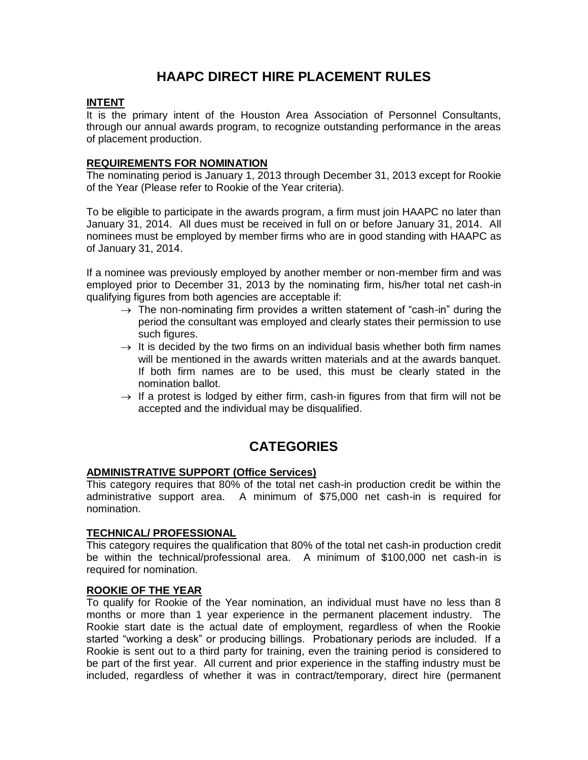# **HAAPC DIRECT HIRE PLACEMENT RULES**

# **INTENT**

It is the primary intent of the Houston Area Association of Personnel Consultants, through our annual awards program, to recognize outstanding performance in the areas of placement production.

# **REQUIREMENTS FOR NOMINATION**

The nominating period is January 1, 2013 through December 31, 2013 except for Rookie of the Year (Please refer to Rookie of the Year criteria).

To be eligible to participate in the awards program, a firm must join HAAPC no later than January 31, 2014. All dues must be received in full on or before January 31, 2014. All nominees must be employed by member firms who are in good standing with HAAPC as of January 31, 2014.

If a nominee was previously employed by another member or non-member firm and was employed prior to December 31, 2013 by the nominating firm, his/her total net cash-in qualifying figures from both agencies are acceptable if:

- $\rightarrow$  The non-nominating firm provides a written statement of "cash-in" during the period the consultant was employed and clearly states their permission to use such figures.
- $\rightarrow$  It is decided by the two firms on an individual basis whether both firm names will be mentioned in the awards written materials and at the awards banquet. If both firm names are to be used, this must be clearly stated in the nomination ballot.
- $\rightarrow$  If a protest is lodged by either firm, cash-in figures from that firm will not be accepted and the individual may be disqualified.

# **CATEGORIES**

# **ADMINISTRATIVE SUPPORT (Office Services)**

This category requires that 80% of the total net cash-in production credit be within the administrative support area. A minimum of \$75,000 net cash-in is required for nomination.

### **TECHNICAL/ PROFESSIONAL**

This category requires the qualification that 80% of the total net cash-in production credit be within the technical/professional area. A minimum of \$100,000 net cash-in is required for nomination.

### **ROOKIE OF THE YEAR**

To qualify for Rookie of the Year nomination, an individual must have no less than 8 months or more than 1 year experience in the permanent placement industry. The Rookie start date is the actual date of employment, regardless of when the Rookie started "working a desk" or producing billings. Probationary periods are included. If a Rookie is sent out to a third party for training, even the training period is considered to be part of the first year. All current and prior experience in the staffing industry must be included, regardless of whether it was in contract/temporary, direct hire (permanent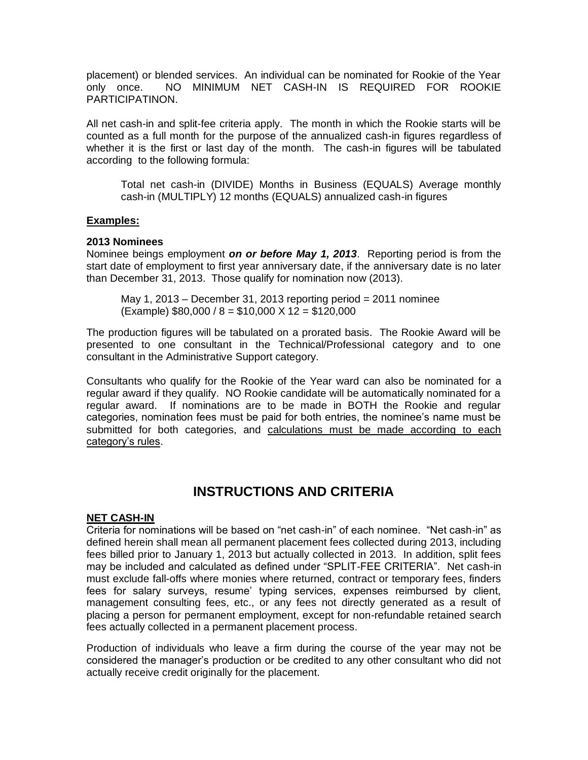placement) or blended services. An individual can be nominated for Rookie of the Year only once. NO MINIMUM NET CASH-IN IS REQUIRED FOR ROOKIE PARTICIPATINON.

All net cash-in and split-fee criteria apply. The month in which the Rookie starts will be counted as a full month for the purpose of the annualized cash-in figures regardless of whether it is the first or last day of the month. The cash-in figures will be tabulated according to the following formula:

Total net cash-in (DIVIDE) Months in Business (EQUALS) Average monthly cash-in (MULTIPLY) 12 months (EQUALS) annualized cash-in figures

### **Examples:**

### **2013 Nominees**

Nominee beings employment *on or before May 1, 2013*. Reporting period is from the start date of employment to first year anniversary date, if the anniversary date is no later than December 31, 2013. Those qualify for nomination now (2013).

May 1, 2013 – December 31, 2013 reporting period  $= 2011$  nominee (Example) \$80,000 / 8 = \$10,000 X 12 = \$120,000

The production figures will be tabulated on a prorated basis. The Rookie Award will be presented to one consultant in the Technical/Professional category and to one consultant in the Administrative Support category.

Consultants who qualify for the Rookie of the Year ward can also be nominated for a regular award if they qualify. NO Rookie candidate will be automatically nominated for a regular award. If nominations are to be made in BOTH the Rookie and regular categories, nomination fees must be paid for both entries, the nominee's name must be submitted for both categories, and calculations must be made according to each category's rules.

# **INSTRUCTIONS AND CRITERIA**

### **NET CASH-IN**

Criteria for nominations will be based on "net cash-in" of each nominee. "Net cash-in" as defined herein shall mean all permanent placement fees collected during 2013, including fees billed prior to January 1, 2013 but actually collected in 2013. In addition, split fees may be included and calculated as defined under "SPLIT-FEE CRITERIA". Net cash-in must exclude fall-offs where monies where returned, contract or temporary fees, finders fees for salary surveys, resume' typing services, expenses reimbursed by client, management consulting fees, etc., or any fees not directly generated as a result of placing a person for permanent employment, except for non-refundable retained search fees actually collected in a permanent placement process.

Production of individuals who leave a firm during the course of the year may not be considered the manager's production or be credited to any other consultant who did not actually receive credit originally for the placement.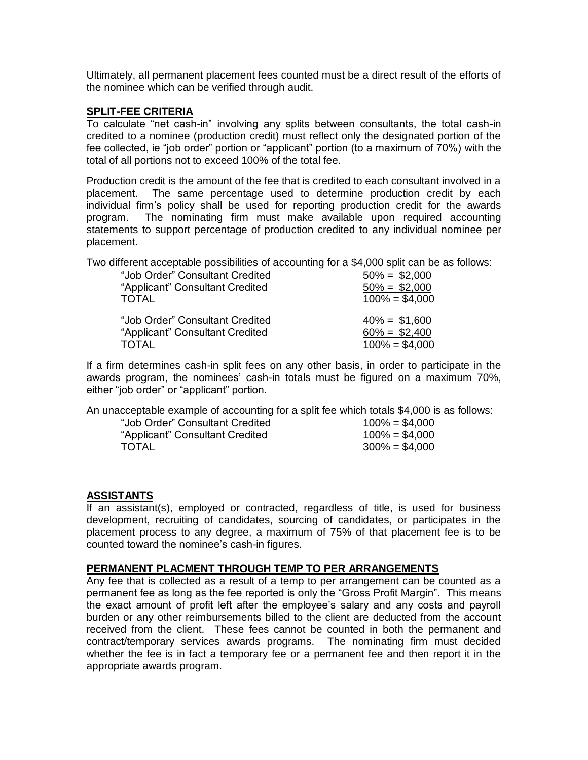Ultimately, all permanent placement fees counted must be a direct result of the efforts of the nominee which can be verified through audit.

### **SPLIT-FEE CRITERIA**

To calculate "net cash-in" involving any splits between consultants, the total cash-in credited to a nominee (production credit) must reflect only the designated portion of the fee collected, ie "job order" portion or "applicant" portion (to a maximum of 70%) with the total of all portions not to exceed 100% of the total fee.

Production credit is the amount of the fee that is credited to each consultant involved in a placement. The same percentage used to determine production credit by each individual firm's policy shall be used for reporting production credit for the awards program. The nominating firm must make available upon required accounting statements to support percentage of production credited to any individual nominee per placement.

Two different acceptable possibilities of accounting for a \$4,000 split can be as follows:

| "Job Order" Consultant Credited | $50\% = $2,000$  |
|---------------------------------|------------------|
| "Applicant" Consultant Credited | $50\% = $2,000$  |
| TOTAL                           | $100\% = $4,000$ |
| "Job Order" Consultant Credited | $40\% = $1,600$  |
| "Applicant" Consultant Credited | $60\% = $2,400$  |
| <b>TOTAL</b>                    | $100\% = $4,000$ |

If a firm determines cash-in split fees on any other basis, in order to participate in the awards program, the nominees' cash-in totals must be figured on a maximum 70%, either "job order" or "applicant" portion.

An unacceptable example of accounting for a split fee which totals \$4,000 is as follows:

| $100\% = $4,000$ |
|------------------|
| $100\% = $4,000$ |
| $300\% = $4,000$ |
|                  |

### **ASSISTANTS**

If an assistant(s), employed or contracted, regardless of title, is used for business development, recruiting of candidates, sourcing of candidates, or participates in the placement process to any degree, a maximum of 75% of that placement fee is to be counted toward the nominee's cash-in figures.

#### **PERMANENT PLACMENT THROUGH TEMP TO PER ARRANGEMENTS**

Any fee that is collected as a result of a temp to per arrangement can be counted as a permanent fee as long as the fee reported is only the "Gross Profit Margin". This means the exact amount of profit left after the employee's salary and any costs and payroll burden or any other reimbursements billed to the client are deducted from the account received from the client. These fees cannot be counted in both the permanent and contract/temporary services awards programs. The nominating firm must decided whether the fee is in fact a temporary fee or a permanent fee and then report it in the appropriate awards program.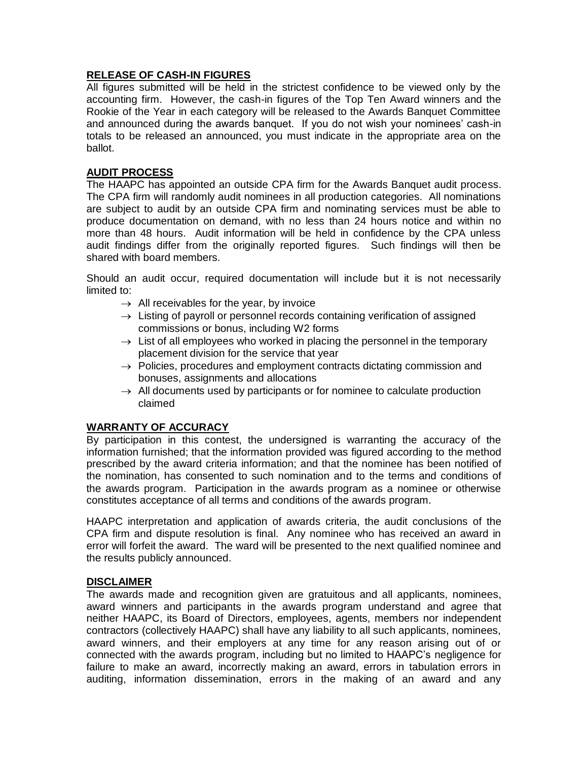# **RELEASE OF CASH-IN FIGURES**

All figures submitted will be held in the strictest confidence to be viewed only by the accounting firm. However, the cash-in figures of the Top Ten Award winners and the Rookie of the Year in each category will be released to the Awards Banquet Committee and announced during the awards banquet. If you do not wish your nominees' cash-in totals to be released an announced, you must indicate in the appropriate area on the ballot.

### **AUDIT PROCESS**

The HAAPC has appointed an outside CPA firm for the Awards Banquet audit process. The CPA firm will randomly audit nominees in all production categories. All nominations are subject to audit by an outside CPA firm and nominating services must be able to produce documentation on demand, with no less than 24 hours notice and within no more than 48 hours. Audit information will be held in confidence by the CPA unless audit findings differ from the originally reported figures. Such findings will then be shared with board members.

Should an audit occur, required documentation will include but it is not necessarily limited to:

- $\rightarrow$  All receivables for the year, by invoice
- $\rightarrow$  Listing of payroll or personnel records containing verification of assigned commissions or bonus, including W2 forms
- $\rightarrow$  List of all employees who worked in placing the personnel in the temporary placement division for the service that year
- $\rightarrow$  Policies, procedures and employment contracts dictating commission and bonuses, assignments and allocations
- $\rightarrow$  All documents used by participants or for nominee to calculate production claimed

# **WARRANTY OF ACCURACY**

By participation in this contest, the undersigned is warranting the accuracy of the information furnished; that the information provided was figured according to the method prescribed by the award criteria information; and that the nominee has been notified of the nomination, has consented to such nomination and to the terms and conditions of the awards program. Participation in the awards program as a nominee or otherwise constitutes acceptance of all terms and conditions of the awards program.

HAAPC interpretation and application of awards criteria, the audit conclusions of the CPA firm and dispute resolution is final. Any nominee who has received an award in error will forfeit the award. The ward will be presented to the next qualified nominee and the results publicly announced.

### **DISCLAIMER**

The awards made and recognition given are gratuitous and all applicants, nominees, award winners and participants in the awards program understand and agree that neither HAAPC, its Board of Directors, employees, agents, members nor independent contractors (collectively HAAPC) shall have any liability to all such applicants, nominees, award winners, and their employers at any time for any reason arising out of or connected with the awards program, including but no limited to HAAPC's negligence for failure to make an award, incorrectly making an award, errors in tabulation errors in auditing, information dissemination, errors in the making of an award and any